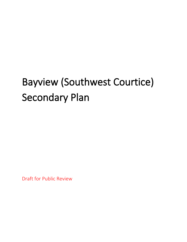# Bayview (Southwest Courtice) Secondary Plan

Draft for Public Review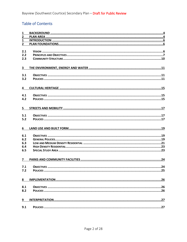## **Table of Contents**

| 1                       |  |
|-------------------------|--|
| $\overline{2}$          |  |
| $\mathbf{1}$            |  |
| $\overline{2}$          |  |
|                         |  |
| 2.1                     |  |
| 2.2                     |  |
| 2.3                     |  |
|                         |  |
|                         |  |
| 3                       |  |
|                         |  |
| 3.1                     |  |
| 3.2                     |  |
|                         |  |
| 4                       |  |
|                         |  |
| 4.1                     |  |
| 4.2                     |  |
|                         |  |
|                         |  |
| 5                       |  |
|                         |  |
| 5.1                     |  |
| 5.2                     |  |
|                         |  |
| 6                       |  |
|                         |  |
| 6.1                     |  |
| 6.2                     |  |
| 6.3                     |  |
| 6.4                     |  |
| 6.5                     |  |
|                         |  |
|                         |  |
| $\overline{\mathbf{z}}$ |  |
|                         |  |
| 7.1                     |  |
| 7.2                     |  |
|                         |  |
|                         |  |
| 8                       |  |
|                         |  |
| 8.1                     |  |
| 8.2                     |  |
|                         |  |
| 9                       |  |
|                         |  |
| 9.1                     |  |
|                         |  |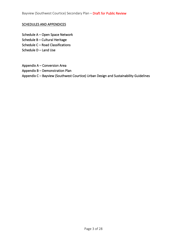## SCHEDULES AND APPENDICES

- Schedule A Open Space Network
- Schedule B Cultural Heritage
- Schedule C Road Classifications
- Schedule D Land Use
- Appendix A Conversion Area
- Appendix B Demonstration Plan
- Appendix C Bayview (Southwest Courtice) Urban Design and Sustainability Guidelines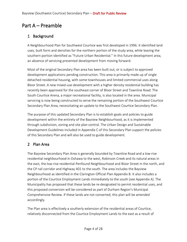# Part A – Preamble

## <span id="page-3-0"></span>1 Background

A Neighbourhood Plan for Southwest Courtice was first developed in 1996. It identified land uses, built form and densities for the northern portion of the study area, while leaving the southern portion identified as "Future Urban Residential." In this future development area, an absence of servicing prevented development from moving forward.

Most of the original Secondary Plan area has been built out, or is subject to approved development applications pending construction. This area is primarily made up of single detached residential housing, with some townhouses and limited commercial uses along Bloor Street. A new mixed-use development with a higher density residential building has recently been approved for the southeast corner of Bloor Street and Townline Road. The South Courtice Arena, a major recreational facility, is also located in the area. Municipal servicing is now being constructed to serve the remaining portion of the Southwest Courtice Secondary Plan Area, necessitating an update to the Southwest Courtice Secondary Plan.

The purpose of this updated Secondary Plan is to establish goals and policies to guide development within the entirety of the Bayview Neighbourhood, as it is implemented through subdivision, zoning and site plan control. The Urban Design and Sustainable Development Guidelines included in Appendix C of this Secondary Plan support the policies of this Secondary Plan and will also be used to guide development.

## <span id="page-3-1"></span>2 Plan Area

The Bayview Secondary Plan Area is generally bounded by Townline Road and a low-rise residential neighbourhood in Oshawa to the west, Robinson Creek and its natural areas in the east, the low-rise residential Penfound Neighbourhood and Bloor Street in the north, and the CP rail corridor and Highway 401 to the south. The area includes the Bayview Neighbourhood as identified in the Clarington Official Plan Appendix B. It also includes a portion of the Courtice Employment Lands immediately to the south (see Appendix A). The Municipality has proposed that these lands be re-designated to permit residential uses, and this proposed conversion will be considered as part of Durham Region's Municipal Comprehensive Review. If these lands are not converted, this plan will be amended accordingly.

The Plan area is effectively a southerly extension of the residential areas of Courtice, relatively disconnected from the Courtice Employment Lands to the east as a result of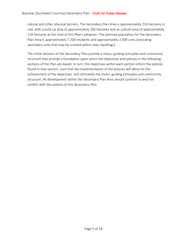#### Bayview (Southwest Courtice) Secondary Plan - Draft for Public Review

natural and other physical barriers. The Secondary Plan Area is approximately 216 hectares in size, with a built-up area of approximately 106 hectares and an unbuilt area of approximately 110 hectares at the time of this Plan's adoption. The planned population for the Secondary Plan Area is approximately 7,700 residents and approximately 2,900 units (excluding secondary units that may be created within main dwellings).

The initial sections of the Secondary Plan provide a vision, guiding principles and community structure that provide a foundation upon which the objectives and policies in the following sections of the Plan are based. In turn, the objectives within each section inform the policies found in that section, such that the implementation of the policies will allow for the achievement of the objectives, and ultimately the vision, guiding principles and community structure. All development within the Secondary Plan Area should conform to and not conflict with the policies of this Secondary Plan.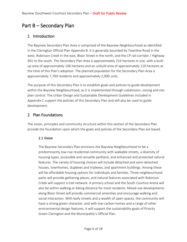## Part B – Secondary Plan

## <span id="page-5-0"></span>1 Introduction

The Bayview Secondary Plan Area is comprised of the Bayview Neighbourhood as identified in the Clarington Official Plan Appendix B. It is generally bounded by Townline Road in the west, Robinson Creek in the east, Bloor Street in the north, and the CP rail corridor / Highway 401 to the south. The Secondary Plan Area is approximately 216 hectares in size, with a builtup area of approximately 106 hectares and an unbuilt area of approximately 110 hectares at the time of this Plan's adoption. The planned population for the Secondary Plan Area is approximately 7,700 residents and approximately 2,900 units.

The purpose of this Secondary Plan is to establish goals and policies to guide development within the Bayview Neighbourhood, as it is implemented through subdivision, zoning and site plan control. The Urban Design and Sustainable Development Guidelines included in Appendix C support the policies of this Secondary Plan and will also be used to guide development.

## <span id="page-5-1"></span>2 Plan Foundations

<span id="page-5-2"></span>The vision, principles and community structure within this section of the Secondary Plan provide the foundation upon which the goals and policies of the Secondary Plan are based.

## 2.1 Vision

The Bayview Secondary Plan envisions the Bayview Neighbourhood to be a predominantly low-rise residential community with walkable streets, a diversity of housing types, accessible and versatile parkland, and enhanced and protected natural features. The variety of housing choices will include detached and semi-detached houses, townhomes, duplexes and triplexes, and apartment buildings. Among these will be affordable housing options for individuals and families. Three neighbourhood parks will provide gathering places, and natural features associated with Robinson Creek will support a trail network. A primary school and the South Courtice Arena will also be within walking or biking distance for most residents. Mixed-use developments along Bloor Street will provide commercial amenities and encourage walking and social interaction. With leafy streets and a wealth of open spaces, the community will have a strong green character, and with low-carbon homes and a range of other environmental design features, it will support the sustainability goals of Priority Green Clarington and the Municipality's Official Plan.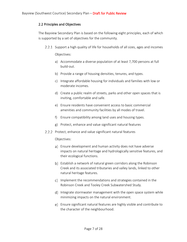## <span id="page-6-0"></span>2.2 Principles and Objectives

The Bayview Secondary Plan is based on the following eight principles, each of which is supported by a set of objectives for the community.

- 2.2.1 Support a high quality of life for households of all sizes, ages and incomes Objectives:
	- a) Accommodate a diverse population of at least 7,700 persons at full build-out.
	- b) Provide a range of housing densities, tenures, and types.
	- c) Integrate affordable housing for individuals and families with low or moderate incomes.
	- d) Create a public realm of streets, parks and other open spaces that is inviting, comfortable and safe.
	- e) Ensure residents have convenient access to basic commercial amenities and community facilities by all modes of travel.
	- f) Ensure compatibility among land uses and housing types.
	- g) Protect, enhance and value significant natural features
- 2.2.2 Protect, enhance and value significant natural features

## Objectives:

- a) Ensure development and human activity does not have adverse impacts on natural heritage and hydrologically sensitive features, and their ecological functions.
- b) Establish a network of natural green corridors along the Robinson Creek and its associated tributaries and valley lands, linked to other natural heritage features.
- c) Implement the recommendations and strategies contained in the Robinson Creek and Tooley Creek Subwatershed Study.
- d) Integrate stormwater management with the open space system while minimizing impacts on the natural environment.
- Ensure significant natural features are highly visible and contribute to the character of the neighbourhood.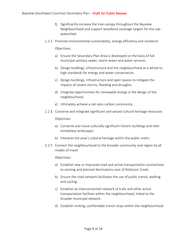- f) Significantly increase the tree canopy throughout the Bayview Neighbourhood and support woodland coverage targets for the subwatershed.
- 2.2.3 Promote environmental sustainability, energy efficiency and resilience

Objectives:

- a) Ensure the Secondary Plan Area is developed on the basis of full municipal sanitary sewer, storm sewer and water services.
- b) Design buildings, infrastructure and the neighbourhood as a whole to high standards for energy and water conservation.
- c) Design buildings, infrastructure and open spaces to mitigate the impacts of severe storms, flooding and droughts.
- d) Integrate opportunities for renewable energy in the design of the neighbourhood.
- e) Ultimately achieve a net-zero carbon community.
- 2.2.4 Conserve and integrate significant and valued cultural heritage resources Objectives:
	- a) Conserve and reuse culturally significant historic buildings and their immediate landscapes.
	- b) Interpret the area's cultural heritage within the public realm.
- 2.2.5 Connect the neighbourhood to the broader community and region by all modes of travel

Objectives:

- a) Establish new or improved road and active transportation connections to existing and planned destinations east of Robinson Creek.
- b) Ensure the road network facilitates the use of public transit, walking and cycling.
- c) Establish an interconnected network of trails and other active transportation facilities within the neighbourhood, linked to the broader municipal network.
- d) Establish inviting, comfortable transit stops within the neighbourhood.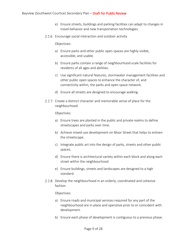- e) Ensure streets, buildings and parking facilities can adapt to changes in travel behavior and new transportation technologies.
- 2.2.6 Encourage social interaction and outdoor activity

Objectives:

- a) Ensure parks and other public open spaces are highly visible, accessible, and usable.
- b) Ensure parks contain a range of neighbourhood-scale facilities for residents of all ages and abilities.
- c) Use significant natural features, stormwater management facilities and other public open spaces to enhance the character of, and connectivity within, the parks and open space network.
- d) Ensure all streets are designed to encourage walking.
- 2.2.7 Create a distinct character and memorable sense of place for the neighbourhood

Objectives:

- a) Ensure trees are planted in the public and private realms to define streetscapes and parks over time.
- b) Achieve mixed-use development on Bloor Street that helps to enliven the streetscape.
- c) Integrate public art into the design of parks, streets and other public spaces.
- d) Ensure there is architectural variety within each block and along each street within the neighbourhood
- e) Ensure buildings, streets and landscapes are designed to a high standard.
- 2.2.8 Develop the neighbourhood in an orderly, coordinated and cohesive fashion

Objectives:

- a) Ensure roads and municipal services required for any part of the neighbourhood are in place and operative prior to or coincident with development.
- b) Ensure each phase of development is contiguous to a previous phase.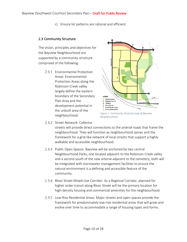c) Ensure lot patterns are rational and efficient.

#### <span id="page-9-0"></span>2.3 Community Structure

The vision, principles and objectives for the Bayview Neighbourhood are supported by a community structure comprised of the following:

> 2.3.1 Fnvironmental Protection Areas: Environmental Protection Areas along the Robinson Creek valley largely define the eastern boundary of the Secondary Plan Area and the development potential in the unbuilt area of the neighbourhood.



*Figure 1: Community Structure map of Bayview Neighbourhood.*

2.3.2 Street Network: Collector

streets will provide direct connections to the arterial roads that frame the neighbourhood. They will function as neighbourhood spines and the framework for a grid-like network of local streets that support a highly walkable and accessible neighbourhood.

- 2.3.3 Public Open Spaces: Bayview will be anchored by two central Neighbourhood Parks, one located adjacent to the Robinson Creek valley and a second south of the new arterial adjacent to the cemetery, both will be integrated with stormwater management facilities to ensure the natural environment is a defining and accessible feature of the community.
- 2.3.4 Bloor Street Mixed-Use Corridor: As a Regional Corridor, planned for higher order transit along Bloor Street will be the primary location for high-density housing and commercial amenities for the neighbourhood.
- Low-Rise Residential Areas: Major streets and open spaces provide the framework for predominately low-rise residential areas that will grow and evolve over time to accommodate a range of housing types and forms.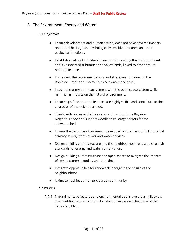## <span id="page-10-1"></span><span id="page-10-0"></span>3 The Environment, Energy and Water

## 3.1 Objectives

- Ensure development and human activity does not have adverse impacts on natural heritage and hydrologically sensitive features, and their ecological functions.
- Establish a network of natural green corridors along the Robinson Creek and its associated tributaries and valley lands, linked to other natural heritage features.
- Implement the recommendations and strategies contained in the Robinson Creek and Tooley Creek Subwatershed Study.
- Integrate stormwater management with the open space system while minimizing impacts on the natural environment.
- Ensure significant natural features are highly visible and contribute to the character of the neighbourhood.
- Significantly increase the tree canopy throughout the Bayview Neighbourhood and support woodland coverage targets for the subwatershed.
- Ensure the Secondary Plan Area is developed on the basis of full municipal sanitary sewer, storm sewer and water services.
- Design buildings, infrastructure and the neighbourhood as a whole to high standards for energy and water conservation.
- Design buildings, infrastructure and open spaces to mitigate the impacts of severe storms, flooding and droughts.
- Integrate opportunities for renewable energy in the design of the neighbourhood.
- Ultimately achieve a net-zero carbon community.

## <span id="page-10-2"></span>3.2 Policies

3.2.1 Natural heritage features and environmentally sensitive areas in Bayview are identified as Environmental Protection Areas on Schedule A of this Secondary Plan.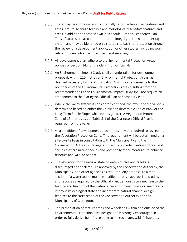- There may be additional environmentally sensitive terrestrial features and areas, natural heritage features and hydrologically sensitive features and areas in addition to those shown in Schedule A of this Secondary Plan. These features are also important to the integrity of the natural heritage system and may be identified on a site-by-site basis for protection through the review of a development application or other studies, including work related to new infrastructure, roads and servicing.
- All development shall adhere to the Environmental Protection Areas policies of Section 14.4 of the Clarington Official Plan.
- An Environmental Impact Study shall be undertaken for development proposals within 120 metres of Environmental Protection Areas, as deemed necessary by the Municipality. Any minor refinements to the boundaries of the Environmental Protection Areas resulting from the recommendations of an Environmental Impact Study shall not require an amendment to the Clarington Official Plan or Secondary Plan.
- 3.2.5 Where the valley system is considered confined, the extent of the valley is determined based on either the visible and discernible Top of Bank or the Long-Term Stable Slope, whichever is greater. A Vegetation Protection Zone of 15 metres as per Table 3-1 of the Clarington Official Plan is required from the valley.
- As a condition of development, proponents may be required to revegetate the Vegetation Protection Zone. This requirement will be determined on a site-by-site basis in consultation with the Municipality and the Conservation Authority. Revegetation would include planting of trees and shrubs that are native species and potentially other measures to enhance fisheries and wildlife habitat.
- 3.2.7 The alteration to the natural state of watercourses and creeks is discouraged and shall require approval by the Conservation Authority, the Municipality, and other agencies as required. Any proposal to alter a section of a watercourse must be justified through appropriate studies and reports as required by the Official Plan, demonstrate a net gain to the feature and function of the watercourse and riparian corridor, maintain or improve its ecological state and incorporate natural channel design features to the satisfaction of the Conservation Authority and the Municipality of Clarington.
- 3.2.8 The preservation of mature trees and woodlands within and outside of the Environmental Protection Area designation is strongly encouraged in order to fully derive benefits relating to microclimate, wildlife habitats,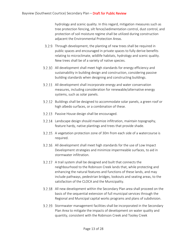hydrology and scenic quality. In this regard, mitigation measures such as tree protection fencing, silt fence/sedimentation control, dust control, and protection of soil moisture regime shall be utilized during construction adjacent the Environmental Protection Areas.

- Through development, the planting of new trees shall be required in public spaces and encouraged in private spaces to fully derive benefits relating to microclimate, wildlife habitats, hydrology and scenic quality. New trees shall be of a variety of native species.
- 3.2.10 All development shall meet high standards for energy efficiency and sustainability in building design and construction, considering passive building standards when designing and constructing buildings.
- 3.2.11 All development shall incorporate energy and water conservation measures, including consideration for renewable/alternative energy systems, such as solar panels.
- Buildings shall be designed to accommodate solar panels, a green roof or high albedo surfaces, or a combination of these.
- 3.2.13 Passive House design shall be encouraged.
- 3.2.14 Landscape design should maximize infiltration, maintain topography, feature hardy, native plantings and trees that provide shade.
- A vegetation protection zone of 30m from each side of a watercourse is required.
- 3.2.16 All development shall meet high standards for the use of Low Impact Development strategies and minimize impermeable surfaces, to aid in stormwater infiltration.
- 3.2.17 A trail system shall be designed and built that connects the neighbourhood to the Robinson Creek lands that, while protecting and enhancing the natural features and functions of these lands, and may include pathways, pedestrian bridges, lookouts and seating areas, to the satisfaction of the CLOCA and the Municipality.
- All new development within the Secondary Plan area shall proceed on the basis of the sequential extension of full municipal services through the Regional and Municipal capital works programs and plans of subdivision.
- Stormwater management facilities shall be incorporated in the Secondary Plan Area to mitigate the impacts of development on water quality and quantity, consistent with the Robinson Creek and Tooley Creek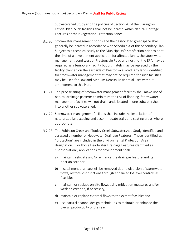Subwatershed Study and the policies of Section 20 of the Clarington Official Plan. Such facilities shall not be located within Natural Heritage Features or their Vegetation Protection Zones.

- 3.2.20 Stormwater management ponds and their associated greenspace shall generally be located in accordance with Schedule A of this Secondary Plan. Subject to a technical study to the Municipality's satisfaction prior to or at the time of a development application for affected lands, the stormwater management pond west of Prestonvale Road and north of the EPA may be required as a temporary facility but ultimately may be replaced by the facility planned on the east side of Prestonvale Road. Any lands identified for stormwater management that may not be required for such facilities may be used for Low and Medium Density Residential uses without amendment to this Plan.
- 3.2.21 The precise siting of stormwater management facilities shall make use of natural drainage patterns to minimize the risk of flooding. Stormwater management facilities will not drain lands located in one subwatershed into another subwatershed.
- Stormwater management facilities shall include the installation of naturalized landscaping and accommodate trails and seating areas where appropriate.
- 3.2.23 The Robinson Creek and Tooley Creek Subwatershed Study identified and assessed a number of Headwater Drainage Features. Those identified as "protection" are included in the Environmental Protection Area designation. For those Headwater Drainage Features identified as "Conservation", applications for development shall:
	- a) maintain, relocate and/or enhance the drainage feature and its riparian corridor;
	- b) if catchment drainage will be removed due to diversion of stormwater flows, restore lost functions through enhanced lot level controls as feasible;
	- c) maintain or replace on-site flows using mitigation measures and/or wetland creation, if necessary;
	- d) maintain or replace external flows to the extent feasible; and
	- e) use natural channel design techniques to maintain or enhance the overall productivity of the reach.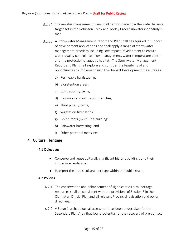- 3.2.24 Stormwater management plans shall demonstrate how the water balance target set in the Robinson Creek and Tooley Creek Subwatershed Study is met.
- A Stormwater Management Report and Plan shall be required in support of development applications and shall apply a range of stormwater management practices including Low Impact Development to ensure water quality control, baseflow management, water temperature control and the protection of aquatic habitat. The Stormwater Management Report and Plan shall explore and consider the feasibility of and opportunities to implement such Low Impact Development measures as:
	- a) Permeable hardscaping;
	- b) Bioretention areas;
	- c) Exfiltration systems;
	- d) Bioswales and infiltration trenches;
	- e) Third pipe systems;
	- f) vegetation filter strips;
	- g) Green roofs (multi-unit buildings);
	- h) Rainwater harvesting; and
	- i) Other potential measures.

## <span id="page-14-1"></span><span id="page-14-0"></span>4 Cultural Heritage

#### 4.1 Objectives

- Conserve and reuse culturally significant historic buildings and their immediate landscapes.
- Interpret the area's cultural heritage within the public realm.

#### <span id="page-14-2"></span>4.2 Policies

- 4.2.1 The conservation and enhancement of significant cultural heritage resources shall be consistent with the provisions of Section 8 in the Clarington Official Plan and all relevant Provincial legislation and policy directives.
- A Stage 1 archaeological assessment has been undertaken for the Secondary Plan Area that found potential for the recovery of pre-contact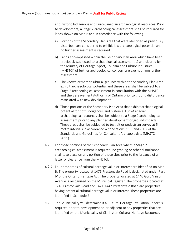and historic Indigenous and Euro-Canadian archaeological resources. Prior to development, a Stage 2 archaeological assessment shall be required for lands shown on Map B and in accordance with the following:

- a) Portions of the Secondary Plan Area that were identified as previously disturbed, are considered to exhibit low archaeological potential and no further assessment is required.
- b) Lands encompassed within the Secondary Plan Area which have been previously subjected to archaeological assessment(s) and cleared by the Ministry of Heritage, Sport, Tourism and Culture Industries (MHSTCI) of further archaeological concern are exempt from further assessment.
- c) The known cemeteries/burial grounds within the Secondary Plan Area exhibit archaeological potential and these areas shall be subject to a Stage 2 archaeological assessment in consultation with the MHSTCI and the Bereavement Authority of Ontario prior to ground disturbance associated with new development.
- d) Those portions of the Secondary Plan Area that exhibit archaeological potential for both Indigenous and historical Euro-Canadian archaeological resources shall be subject to a Stage 2 archaeological assessment prior to any planned development or ground impacts. These areas shall be subjected to test pit or pedestrian survey at 5 metre intervals in accordance with Sections 2.1.1 and 2.1.2 of the Standards and Guidelines for Consultant Archaeologists (MHSTCI 2011).
- 4.2.3 For those portions of the Secondary Plan Area where a Stage 2 archaeological assessment is required, no grading or other disturbance shall take place on any portion of those sites prior to the issuance of a letter of clearance from the MHSTCI.
- Four properties of cultural heritage value or interest are identified on Map B. The property located at 1476 Prestonvale Road is designated under Part IV of the Ontario Heritage Act. The property located at 1440 Gord Vinson Avenue is recognized on the Municipal Register. The properties located at 1246 Prestonvale Road and 1421-1447 Prestonvale Road are properties having potential cultural heritage value or interest. These properties are identified in Schedule B.
- 4.2.5 The Municipality will determine if a Cultural Heritage Evaluation Report is required prior to development on or adjacent to any properties that are identified on the Municipality of Clarington Cultural Heritage Resources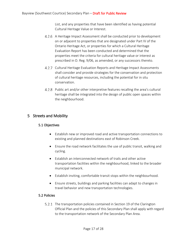List, and any properties that have been identified as having potential Cultural Heritage Value or Interest.

- A Heritage Impact Assessment shall be conducted prior to development on or adjacent to properties that are designated under Part IV of the Ontario Heritage Act, or properties for which a Cultural Heritage Evaluation Report has been conducted and determined that the properties meet the criteria for cultural heritage value or interest as prescribed in O. Reg. 9/06, as amended, or any successors thereto.
- 4.2.7 Cultural Heritage Evaluation Reports and Heritage Impact Assessments shall consider and provide strategies for the conservation and protection of cultural heritage resources, including the potential for in situ conservation.
- Public art and/or other interpretive features recalling the area's cultural heritage shall be integrated into the design of public open spaces within the neighbourhood.

## <span id="page-16-1"></span><span id="page-16-0"></span>5 Streets and Mobility

## 5.1 Objectives

- Establish new or improved road and active transportation connections to existing and planned destinations east of Robinson Creek.
- Ensure the road network facilitates the use of public transit, walking and cycling.
- Establish an interconnected network of trails and other active transportation facilities within the neighbourhood, linked to the broader municipal network.
- Establish inviting, comfortable transit stops within the neighbourhood.
- Ensure streets, buildings and parking facilities can adapt to changes in travel behavior and new transportation technologies.

## <span id="page-16-2"></span>5.2 Policies

5.2.1 The transportation policies contained in Section 19 of the Clarington Official Plan and the policies of this Secondary Plan shall apply with regard to the transportation network of the Secondary Plan Area.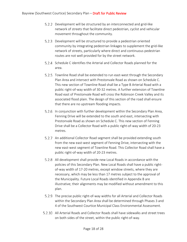- 5.2.2 Development will be structured by an interconnected and grid-like network of streets that facilitate direct pedestrian, cyclist and vehicular movement throughout the community.
- 5.2.3 Development will be structured to provide a pedestrian oriented community by integrating pedestrian linkages to supplement the grid-like network of streets, particularly where direct and continuous pedestrian routes are not well provided for by the street network.
- 5.2.4 Schedule C identifies the Arterial and Collector Roads planned for the area.
- 5.2.5 Townline Road shall be extended to run east-west through the Secondary Plan Area and intersect with Prestonvale Road as shown on Schedule C. This new section of Townline Road shall be a Type B Arterial Road with a public right-of-way width of 30-32 metres. A further extension of Townline Road east of Prestonvale Road will cross the Robinson Creek Valley and its associated flood plain. The design of this section of the road shall ensure that there are no upstream flooding impacts.
- 5.2.6 In conjunction with further development within the Secondary Plan Area, Fenning Drive will be extended to the south and east, intersecting with Prestonvale Road as shown on Schedule C. This new section of Fenning Drive shall be a Collector Road with a public right-of-way width of 20-23 metres.
- 5.2.7 An additional Collector Road segment shall be provided extending south from the new east-west segment of Fenning Drive, intersecting with the new east-west segment of Townline Road. This Collector Road shall have a public right-of-way width of 20-23 metres.
- 5.2.8 All development shall provide new Local Roads in accordance with the policies of this Secondary Plan. New Local Roads shall have a public rightof-way width of 17-20 metres, except window streets, where they are necessary, which may be less than 17 metres subject to the approval of the Municipality. Future Local Roads identified in Appendix B are illustrative; their alignments may be modified without amendment to this plan.
- 5.2.9 The precise public right-of-way widths for all Arterial and Collector Roads within the Secondary Plan Area shall be determined through Phases 3 and 4 of the Southwest Courtice Municipal Class Environmental Assessment.
- All Arterial Roads and Collector Roads shall have sidewalks and street trees on both sides of the street, within the public right-of-way.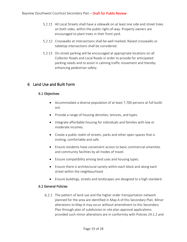- 5.2.11 All Local Streets shall have a sidewalk on at least one side and street trees on both sides, within the public right-of-way. Property owners are encouraged to plant trees in their front yard.
- 5.2.12 Crosswalks at intersections shall be well marked. Raised crosswalks or tabletop intersections shall be considered.
- 5.2.13 On-street parking will be encouraged at appropriate locations on all Collector Roads and Local Roads in order to provide for anticipated parking needs and to assist in calming traffic movement and thereby enhancing pedestrian safety.

## <span id="page-18-1"></span><span id="page-18-0"></span>6 Land Use and Built Form

## 6.1 Objectives

- Accommodate a diverse population of at least 7,700 persons at full buildout.
- Provide a range of housing densities, tenures, and types.
- Integrate affordable housing for individuals and families with low or moderate incomes.
- Create a public realm of streets, parks and other open spaces that is inviting, comfortable and safe.
- Ensure residents have convenient access to basic commercial amenities and community facilities by all modes of travel.
- Ensure compatibility among land uses and housing types.
- Ensure there is architectural variety within each block and along each street within the neighbourhood
- Ensure buildings, streets and landscapes are designed to a high standard.

## <span id="page-18-2"></span>6.2 General Policies

6.2.1 The pattern of land use and the higher order transportation network planned for the area are identified in Map A of this Secondary Plan. Minor alterations to Map A may occur without amendment to this Secondary Plan through plan of subdivision or site plan approval applications provided such minor alterations are in conformity with Policies 24.1.2 and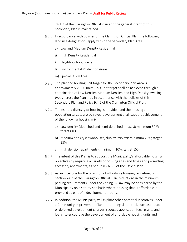24.1.3 of the Clarington Official Plan and the general intent of this Secondary Plan is maintained.

- 6.2.2 In accordance with policies of the Clarington Official Plan the following land use designations apply within the Secondary Plan Area:
	- a) Low and Medium Density Residential
	- j) High Density Residential
	- k) Neighbourhood Parks
	- l) Environmental Protection Areas
	- m) Special Study Area
- 6.2.3 The planned housing unit target for the Secondary Plan Area is approximately 2,900 units. This unit target shall be achieved through a combination of Low Density, Medium Density, and High Density dwelling types across the Plan area in accordance with the policies of this Secondary Plan and Policy 9.4.5 of the Clarington Official Plan.
- 6.2.4 To ensure a diversity of housing is provided and the housing and population targets are achieved development shall support achievement of the following housing mix:
	- a) Low density (detached and semi-detached houses): minimum 50%; target 60%
	- b) Medium density (townhouses, duplex, triplex): minimum 20%; target 25%
	- c) High density (apartments): minimum 10%; target 15%
- 6.2.5 The intent of this Plan is to support the Municipality's affordable housing objectives by requiring a variety of housing sizes and types and permitting accessory apartments, as per Policy 6.3.5 of the Official Plan.
- 6.2.6 As an incentive for the provision of affordable housing, as defined in Section 24.2 of the Clarington Official Plan, reductions in the minimum parking requirements under the Zoning By-law may be considered by the Municipality on a site-by-site basis where housing that is affordable is provided as part of a development proposal.
- 6.2.7 In addition, the Municipality will explore other potential incentives under a Community Improvement Plan or other legislated tool, such as reduced or deferred development charges, reduced application fees, grants and loans, to encourage the development of affordable housing units and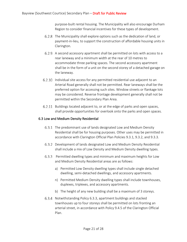purpose-built rental housing. The Municipality will also encourage Durham Region to consider financial incentives for these types of development.

- 6.2.8 The Municipality shall explore options such as the dedication of land, or payment-in-lieu, to support the construction of affordable housing units in Clarington.
- 6.2.9 A second accessory apartment shall be permitted on lots with access to a rear laneway and a minimum width at the rear of 10 metres to accommodate three parking spaces. The second accessory apartment shall be in the form of a unit on the second storey of a detached garage on the laneway.
- 6.2.10 Individual site access for any permitted residential use adjacent to an Arterial Road generally shall not be permitted. Rear laneways shall be the preferred option for accessing such sites. Window streets or flankage lots may be considered. Reverse frontage development generally shall not be permitted within the Secondary Plan Area.
- 6.2.11 Buildings located adjacent to, or at the edge of parks and open spaces, shall provide opportunities for overlook onto the parks and open spaces.

## <span id="page-20-0"></span>6.3 Low and Medium Density Residential

- 6.3.1 The predominant use of lands designated Low and Medium Density Residential shall be for housing purposes. Other uses may be permitted in accordance with Clarington Official Plan Policies 9.3.1, 9.3.2, and 9.3.3.
- 6.3.2 Development of lands designated Low and Medium Density Residential shall include a mix of Low Density and Medium Density dwelling types.
- Permitted dwelling types and minimum and maximum heights for Low and Medium Density Residential areas are as follows:
	- a) Permitted Low Density dwelling types shall include single detached dwelling, semi-detached dwellings, and accessory apartments.
	- n) Permitted Medium Density dwelling types shall include townhouses, duplexes, triplexes, and accessory apartments.
	- b) The height of any new building shall be a maximum of 3 storeys.
- 6.3.4 Notwithstanding Policy 6.3.3, apartment buildings and stacked townhouses up to four storeys shall be permitted on lots fronting an arterial street, in accordance with Policy 9.4.5 of the Clarington Official Plan.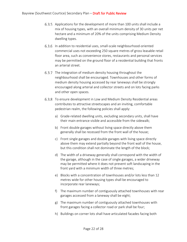- 6.3.5 Applications for the development of more than 100 units shall include a mix of housing types, with an overall minimum density of 30 units per net hectare and a minimum of 20% of the units comprising Medium Density dwelling types.
- In addition to residential uses, small-scale neighbourhood-oriented commercial uses not exceeding 250 square metres of gross leasable retail floor area, such as convenience stores, restaurants and personal services may be permitted on the ground floor of a residential building that fronts an arterial street.
- 6.3.7 The integration of medium density housing throughout the neighbourhood shall be encouraged. Townhouses and other forms of medium density housing accessed by rear laneways shall be strongly encouraged along arterial and collector streets and on lots facing parks and other open spaces.
- 6.3.8 To ensure development in Low and Medium Density Residential areas contributes to attractive streetscapes and an inviting, comfortable pedestrian realm, the following policies shall apply:
	- a) Grade-related dwelling units, excluding secondary units, shall have their main entrance visible and accessible from the sidewalk;
	- b) Front double garages without living space directly above them generally shall be recessed from the front wall of the house;
	- c) Front single garages and double garages with living space directly above them may extend partially beyond the front wall of the house, but this condition shall not dominate the length of the block;
	- d) The width of a driveway generally shall correspond with the width of the garage, although in the case of single garages, a wider driveway may be permitted where it does not prevent soft landscaping in the front yard with a minimum width of three metres;
	- e) Blocks with a concentration of townhouses and/or lots less than 12 metres wide for other housing types shall be encouraged to incorporate rear laneways;
	- f) The maximum number of contiguously attached townhouses with rear garages accessed from a laneway shall be eight;
	- g) The maximum number of contiguously attached townhouses with front garages facing a collector road or park shall be four;
	- h) Buildings on corner lots shall have articulated facades facing both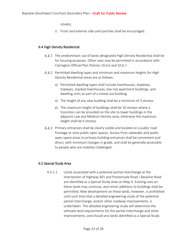streets;

i) Front and exterior side yard porches shall be encouraged.

## <span id="page-22-0"></span>6.4 High Density Residential

- The predominant use of lands designated High Density Residential shall be for housing purposes. Other uses may be permitted in accordance with Clarington Official Plan Policies 10.6.6 and 10.6.7.
- 6.4.2 Permitted dwelling types and minimum and maximum heights for High Density Residential areas are as follows:
	- a) Permitted dwelling types shall include townhouses, duplexes, triplexes, stacked townhouses, low rise apartment buildings, and dwelling units as part of a mixed-use building.
	- o) The height of any new building shall be a minimum of 3 storeys.
	- p) The maximum height of buildings shall be 10 storeys where a transition can be provided on the site to lower buildings in the adjacent Low and Medium Density area; otherwise the maximum height shall be 6 storeys.
- Primary entrances shall be clearly visible and located on a public road frontage or onto public open spaces. Access from sidewalks and public open space areas to primary building entrances shall be convenient and direct, with minimum changes in grade, and shall be generally accessible to people who are mobility challenged.

## <span id="page-22-1"></span>6.5 Special Study Area

6.5.1.1 Lands associated with a potential partial interchange at the intersection of Highway 401 and Prestonvale Road / Baseline Road are identified as a Special Study Area on Map A. Existing uses on these lands may continue, and minor additions to buildings shall be permitted. New development on these lands, however, is prohibited until such time that a detailed engineering study of the potential partial interchange, and/or other roadway improvements, is undertaken. The detailed engineering study will determine the ultimate land requirements for the partial interchange and other improvements, and should any lands identified as a Special Study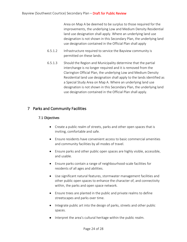Area on Map A be deemed to be surplus to those required for the improvements, the underlying Low and Medium Density Residential land use designation shall apply. Where an underlying land use designation is not shown in this Secondary Plan, the underlying land use designation contained in the Official Plan shall apply

- 6.5.1.2 Infrastructure required to service the Bayview community is permitted on these lands.
- 6.5.1.3 Should the Region and Municipality determine that the partial interchange is no longer required and it is removed from the Clarington Official Plan, the underlying Low and Medium Density Residential land use designation shall apply to the lands identified as a Special Study Area on Map A. Where an underlying land use designation is not shown in this Secondary Plan, the underlying land use designation contained in the Official Plan shall apply.

## <span id="page-23-1"></span><span id="page-23-0"></span>7 Parks and Community Facilities

## 7.1 Objectives

- Create a public realm of streets, parks and other open spaces that is inviting, comfortable and safe.
- Ensure residents have convenient access to basic commercial amenities and community facilities by all modes of travel.
- Ensure parks and other public open spaces are highly visible, accessible, and usable.
- Ensure parks contain a range of neighbourhood-scale facilities for residents of all ages and abilities.
- Use significant natural features, stormwater management facilities and other public open spaces to enhance the character of, and connectivity within, the parks and open space network.
- Ensure trees are planted in the public and private realms to define streetscapes and parks over time.
- Integrate public art into the design of parks, streets and other public spaces.
- Interpret the area's cultural heritage within the public realm.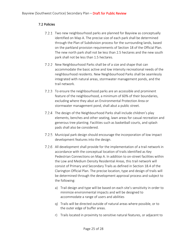## <span id="page-24-0"></span>7.2 Policies

- 7.2.1 Two new neighbourhood parks are planned for Bayview as conceptually identified on Map A. The precise size of each park shall be determined through the Plan of Subdivision process for the surrounding lands, based on the parkland provision requirements of Section 18 of the Official Plan. The new north park shall not be less than 2.5 hectares and the new south park shall not be less than 1.5 hectares.
- 7.2.2 New Neighbourhood Parks shall be of a size and shape that can accommodate the basic active and low intensity recreational needs of the neighbourhood residents. New Neighbourhood Parks shall be seamlessly integrated with natural areas, stormwater management ponds, and the trail network.
- 7.2.3 To ensure the neighbourhood parks are an accessible and prominent feature of the neighbourhood, a minimum of 60% of their boundaries, excluding where they abut an Environmental Protection Area or stormwater management pond, shall abut a public street.
- 7.2.4 The design of the Neighbourhood Parks shall include children's play elements, benches and other seating, lawn areas for casual recreation and generous tree planting. Facilities such as basketball courts, and splash pads shall also be considered.
- 7.2.5 Municipal park design should encourage the incorporation of low impact development features into the design.
- All development shall provide for the implementation of a trail network in accordance with the conceptual location of trails identified as Key Pedestrian Connections on Map A. In addition to on-street facilities within the Low and Medium Density Residential Areas, this trail network will consist of Primary and Secondary Trails as defined in Section 18.4 of the Clarington Official Plan. The precise location, type and design of trails will be determined through the development approval process and subject to the following:
	- a) Trail design and type will be based on each site's sensitivity in order to minimize environmental impacts and will be designed to accommodate a range of users and abilities
	- q) Trails will be directed outside of natural areas where possible, or to the outer edge of buffer areas.
	- r) Trails located in proximity to sensitive natural features, or adjacent to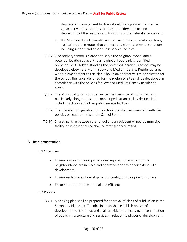stormwater management facilities should incorporate interpretive signage at various locations to promote understanding and stewardship of the features and functions of the natural environment.

- s) The Municipality will consider winter maintenance of multi-use trails, particularly along routes that connect pedestrians to key destinations including schools and other public service facilities.
- 7.2.7 One primary school is planned to serve the neighbourhood, and a potential location adjacent to a neighbourhood park is identified on Schedule D. Notwithstanding the preferred location, a school may be developed elsewhere within a Low and Medium Density Residential area without amendment to this plan. Should an alternative site be selected for the school, the lands identified for the preferred site shall be developed in accordance with the policies for Low and Medium Density Residential areas.
- 7.2.8 The Municipality will consider winter maintenance of multi-use trails, particularly along routes that connect pedestrians to key destinations including schools and other public service facilities.
- 7.2.9 The size and configuration of the school site shall be consistent with the policies or requirements of the School Board.
- 7.2.10 Shared parking between the school and an adjacent or nearby municipal facility or institutional use shall be strongly encouraged.

## <span id="page-25-1"></span><span id="page-25-0"></span>8 Implementation

## 8.1 Objectives

- Ensure roads and municipal services required for any part of the neighbourhood are in place and operative prior to or coincident with development.
- Ensure each phase of development is contiguous to a previous phase.
- Ensure lot patterns are rational and efficient.

## <span id="page-25-2"></span>8.2 Policies

A phasing plan shall be prepared for approval of plans of subdivision in the Secondary Plan Area. The phasing plan shall establish phases of development of the lands and shall provide for the staging of construction of public infrastructure and services in relation to phases of development.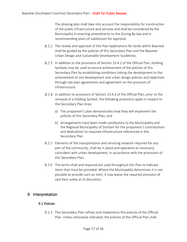The phasing plan shall take into account the responsibility for construction of the public infrastructure and services and shall be considered by the Municipality in enacting amendments to the Zoning By-law and in recommending plans of subdivision for approval.

- 8.2.2 The review and approval of Site Plan Applications for lands within Bayview shall be guided by the policies of this Secondary Plan and the Bayview Urban Design and Sustainable Development Guidelines.
- 8.2.3 In addition to the provisions of Section 23.4.2 of the Official Plan, Holding Symbols may be used to ensure achievement of the policies of this Secondary Plan by establishing conditions linking the development to the achievement of site development and urban design policies and objectives through site plan agreements and agreement on the provision of infrastructure.
- 8.2.4 In addition to provisions of Section 23.4.3 of the Official Plan, prior to the removal of a Holding Symbol, the following provisions apply in respect to the Secondary Plan Area:
	- a) The proponent's plan demonstrates how they will implement the policies of this Secondary Plan; and
	- b) Arrangements have been made satisfactory to the Municipality and the Regional Municipality of Durham for the proponent's contributions and dedications to required infrastructure referenced in this Secondary Plan.
- 8.2.5 Elements of the transportation and servicing network required for any part of the community, shall be in place and operative as necessary, coincident with urban development, in accordance with the provisions of this Secondary Plan.
- 8.2.6 The terms shall and required are used throughout this Plan to indicate items that must be provided. Where the Municipality determines it is not possible to provide such an item, it may waive the required provision of said item solely at its discretion.

## <span id="page-26-1"></span><span id="page-26-0"></span>9 Interpretation

## 9.1 Policies

9.1.1 This Secondary Plan refines and implements the policies of the Official Plan. Unless otherwise indicated, the policies of the Official Plan shall